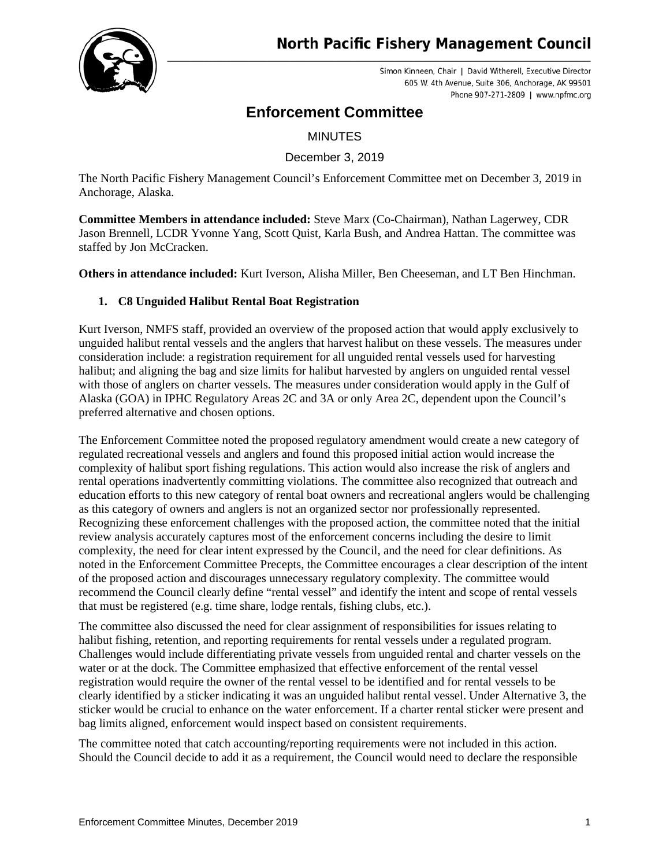

Simon Kinneen, Chair | David Witherell, Executive Director 605 W. 4th Avenue, Suite 306, Anchorage, AK 99501 Phone 907-271-2809 | www.npfmc.org

## **Enforcement Committee**

## MINUTES

December 3, 2019

The North Pacific Fishery Management Council's Enforcement Committee met on December 3, 2019 in Anchorage, Alaska.

**Committee Members in attendance included:** Steve Marx (Co-Chairman), Nathan Lagerwey, CDR Jason Brennell, LCDR Yvonne Yang, Scott Quist, Karla Bush, and Andrea Hattan. The committee was staffed by Jon McCracken.

**Others in attendance included:** Kurt Iverson, Alisha Miller, Ben Cheeseman, and LT Ben Hinchman.

## **1. C8 Unguided Halibut Rental Boat Registration**

Kurt Iverson, NMFS staff, provided an overview of the proposed action that would apply exclusively to unguided halibut rental vessels and the anglers that harvest halibut on these vessels. The measures under consideration include: a registration requirement for all unguided rental vessels used for harvesting halibut; and aligning the bag and size limits for halibut harvested by anglers on unguided rental vessel with those of anglers on charter vessels. The measures under consideration would apply in the Gulf of Alaska (GOA) in IPHC Regulatory Areas 2C and 3A or only Area 2C, dependent upon the Council's preferred alternative and chosen options.

The Enforcement Committee noted the proposed regulatory amendment would create a new category of regulated recreational vessels and anglers and found this proposed initial action would increase the complexity of halibut sport fishing regulations. This action would also increase the risk of anglers and rental operations inadvertently committing violations. The committee also recognized that outreach and education efforts to this new category of rental boat owners and recreational anglers would be challenging as this category of owners and anglers is not an organized sector nor professionally represented. Recognizing these enforcement challenges with the proposed action, the committee noted that the initial review analysis accurately captures most of the enforcement concerns including the desire to limit complexity, the need for clear intent expressed by the Council, and the need for clear definitions. As noted in the Enforcement Committee Precepts, the Committee encourages a clear description of the intent of the proposed action and discourages unnecessary regulatory complexity. The committee would recommend the Council clearly define "rental vessel" and identify the intent and scope of rental vessels that must be registered (e.g. time share, lodge rentals, fishing clubs, etc.).

The committee also discussed the need for clear assignment of responsibilities for issues relating to halibut fishing, retention, and reporting requirements for rental vessels under a regulated program. Challenges would include differentiating private vessels from unguided rental and charter vessels on the water or at the dock. The Committee emphasized that effective enforcement of the rental vessel registration would require the owner of the rental vessel to be identified and for rental vessels to be clearly identified by a sticker indicating it was an unguided halibut rental vessel. Under Alternative 3, the sticker would be crucial to enhance on the water enforcement. If a charter rental sticker were present and bag limits aligned, enforcement would inspect based on consistent requirements.

The committee noted that catch accounting/reporting requirements were not included in this action. Should the Council decide to add it as a requirement, the Council would need to declare the responsible